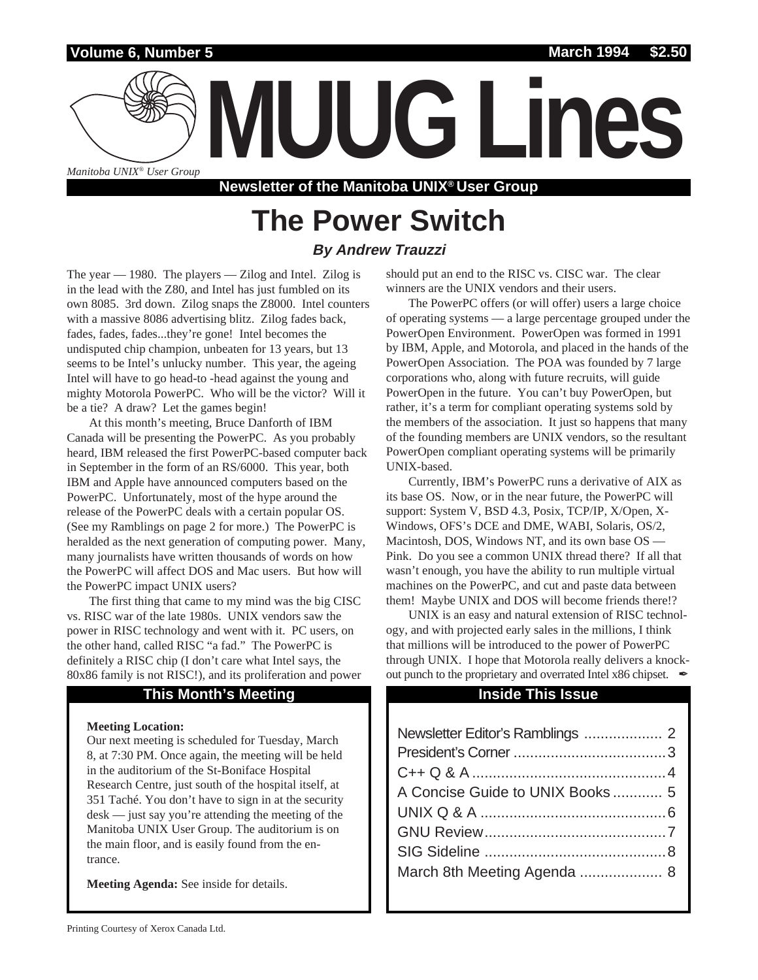#### **Volume 6, Number 5**

*Manitoba UNIX® User Group* **MUUG Lines Newsletter of the Manitoba UNIX® User Group**

> **The Power Switch By Andrew Trauzzi**

The year — 1980. The players — Zilog and Intel. Zilog is in the lead with the Z80, and Intel has just fumbled on its own 8085. 3rd down. Zilog snaps the Z8000. Intel counters with a massive 8086 advertising blitz. Zilog fades back, fades, fades, fades...they're gone! Intel becomes the undisputed chip champion, unbeaten for 13 years, but 13 seems to be Intel's unlucky number. This year, the ageing Intel will have to go head-to -head against the young and mighty Motorola PowerPC. Who will be the victor? Will it be a tie? A draw? Let the games begin!

At this month's meeting, Bruce Danforth of IBM Canada will be presenting the PowerPC. As you probably heard, IBM released the first PowerPC-based computer back in September in the form of an RS/6000. This year, both IBM and Apple have announced computers based on the PowerPC. Unfortunately, most of the hype around the release of the PowerPC deals with a certain popular OS. (See my Ramblings on page 2 for more.) The PowerPC is heralded as the next generation of computing power. Many, many journalists have written thousands of words on how the PowerPC will affect DOS and Mac users. But how will the PowerPC impact UNIX users?

The first thing that came to my mind was the big CISC vs. RISC war of the late 1980s. UNIX vendors saw the power in RISC technology and went with it. PC users, on the other hand, called RISC "a fad." The PowerPC is definitely a RISC chip (I don't care what Intel says, the 80x86 family is not RISC!), and its proliferation and power

#### **This Month's Meeting Inside This Issue**

**Meeting Location:**

Our next meeting is scheduled for Tuesday, March 8, at 7:30 PM. Once again, the meeting will be held in the auditorium of the St-Boniface Hospital Research Centre, just south of the hospital itself, at 351 Taché. You don't have to sign in at the security desk — just say you're attending the meeting of the Manitoba UNIX User Group. The auditorium is on the main floor, and is easily found from the entrance.

**Meeting Agenda:** See inside for details.

should put an end to the RISC vs. CISC war. The clear winners are the UNIX vendors and their users.

The PowerPC offers (or will offer) users a large choice of operating systems — a large percentage grouped under the PowerOpen Environment. PowerOpen was formed in 1991 by IBM, Apple, and Motorola, and placed in the hands of the PowerOpen Association. The POA was founded by 7 large corporations who, along with future recruits, will guide PowerOpen in the future. You can't buy PowerOpen, but rather, it's a term for compliant operating systems sold by the members of the association. It just so happens that many of the founding members are UNIX vendors, so the resultant PowerOpen compliant operating systems will be primarily UNIX-based.

Currently, IBM's PowerPC runs a derivative of AIX as its base OS. Now, or in the near future, the PowerPC will support: System V, BSD 4.3, Posix, TCP/IP, X/Open, X-Windows, OFS's DCE and DME, WABI, Solaris, OS/2, Macintosh, DOS, Windows NT, and its own base OS — Pink. Do you see a common UNIX thread there? If all that wasn't enough, you have the ability to run multiple virtual machines on the PowerPC, and cut and paste data between them! Maybe UNIX and DOS will become friends there!?

UNIX is an easy and natural extension of RISC technology, and with projected early sales in the millions, I think that millions will be introduced to the power of PowerPC through UNIX. I hope that Motorola really delivers a knockout punch to the proprietary and overrated Intel x86 chipset.  $\mathscr{L}$ 

| A Concise Guide to UNIX Books 5 |
|---------------------------------|
|                                 |
|                                 |
|                                 |
| March 8th Meeting Agenda  8     |
|                                 |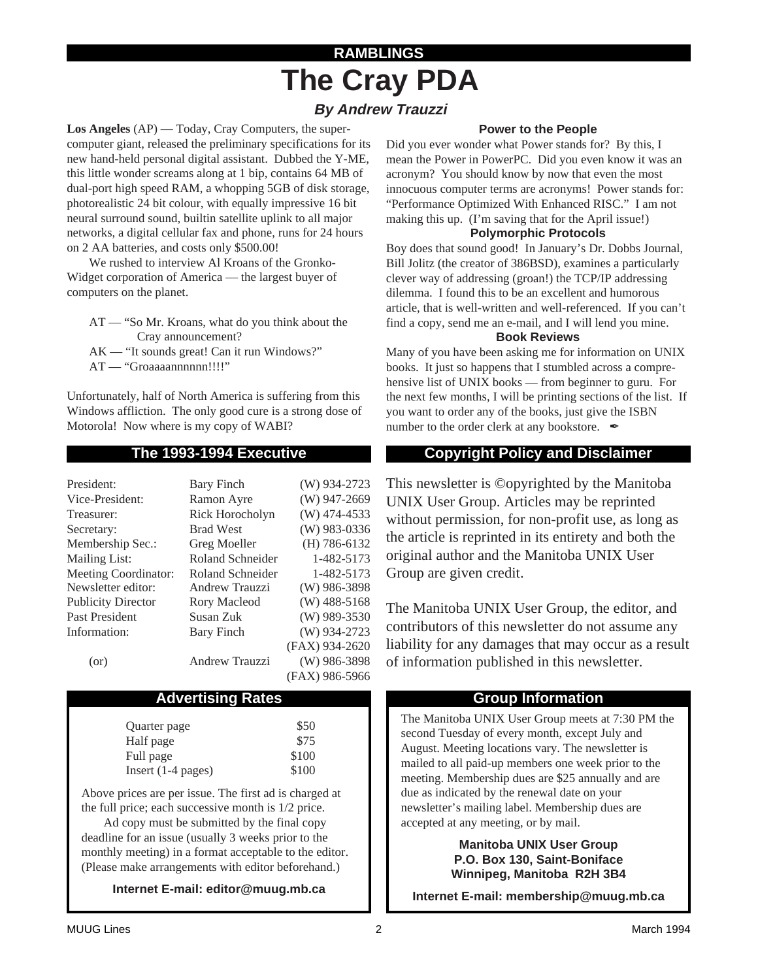# **The Cray PDA By Andrew Trauzzi RAMBLINGS**

**Los Angeles** (AP) — Today, Cray Computers, the supercomputer giant, released the preliminary specifications for its new hand-held personal digital assistant. Dubbed the Y-ME, this little wonder screams along at 1 bip, contains 64 MB of dual-port high speed RAM, a whopping 5GB of disk storage, photorealistic 24 bit colour, with equally impressive 16 bit neural surround sound, builtin satellite uplink to all major networks, a digital cellular fax and phone, runs for 24 hours on 2 AA batteries, and costs only \$500.00!

We rushed to interview Al Kroans of the Gronko-Widget corporation of America — the largest buyer of computers on the planet.

- AT "So Mr. Kroans, what do you think about the Cray announcement?
- AK "It sounds great! Can it run Windows?"
- AT "Groaaaannnnnn!!!!"

Unfortunately, half of North America is suffering from this Windows affliction. The only good cure is a strong dose of Motorola! Now where is my copy of WABI?

| President:                  | <b>Bary Finch</b>     | $(W)$ 934-2723 |
|-----------------------------|-----------------------|----------------|
| Vice-President:             | Ramon Ayre            | $(W)$ 947-2669 |
| Treasurer:                  | Rick Horocholyn       | $(W)$ 474-4533 |
| Secretary:                  | <b>Brad West</b>      | $(W)$ 983-0336 |
| Membership Sec.:            | Greg Moeller          | $(H)$ 786-6132 |
| <b>Mailing List:</b>        | Roland Schneider      | 1-482-5173     |
| <b>Meeting Coordinator:</b> | Roland Schneider      | 1-482-5173     |
| Newsletter editor:          | Andrew Trauzzi        | $(W)$ 986-3898 |
| <b>Publicity Director</b>   | Rory Macleod          | $(W)$ 488-5168 |
| <b>Past President</b>       | Susan Zuk             | $(W)$ 989-3530 |
| Information:                | <b>Bary Finch</b>     | (W) 934-2723   |
|                             |                       | (FAX) 934-2620 |
| (or)                        | <b>Andrew Trauzzi</b> | $(W)$ 986-3898 |
|                             |                       | (FAX) 986-5966 |

#### Advertising Rates **Group Information**

| Quarter page         | \$50  |
|----------------------|-------|
| Half page            | \$75  |
| Full page            | \$100 |
| Insert $(1-4$ pages) | \$100 |

Above prices are per issue. The first ad is charged at the full price; each successive month is 1/2 price.

Ad copy must be submitted by the final copy deadline for an issue (usually 3 weeks prior to the monthly meeting) in a format acceptable to the editor. (Please make arrangements with editor beforehand.)

**Internet E-mail: editor@muug.mb.ca**

#### **Power to the People**

Did you ever wonder what Power stands for? By this, I mean the Power in PowerPC. Did you even know it was an acronym? You should know by now that even the most innocuous computer terms are acronyms! Power stands for: "Performance Optimized With Enhanced RISC." I am not making this up. (I'm saving that for the April issue!)

#### **Polymorphic Protocols**

Boy does that sound good! In January's Dr. Dobbs Journal, Bill Jolitz (the creator of 386BSD), examines a particularly clever way of addressing (groan!) the TCP/IP addressing dilemma. I found this to be an excellent and humorous article, that is well-written and well-referenced. If you can't find a copy, send me an e-mail, and I will lend you mine.

#### **Book Reviews**

Many of you have been asking me for information on UNIX books. It just so happens that I stumbled across a comprehensive list of UNIX books — from beginner to guru. For the next few months, I will be printing sections of the list. If you want to order any of the books, just give the ISBN number to the order clerk at any bookstore.  $\blacktriangle$ 

#### **The 1993-1994 Executive Copyright Policy and Disclaimer**

This newsletter is ©opyrighted by the Manitoba UNIX User Group. Articles may be reprinted without permission, for non-profit use, as long as the article is reprinted in its entirety and both the original author and the Manitoba UNIX User Group are given credit.

The Manitoba UNIX User Group, the editor, and contributors of this newsletter do not assume any liability for any damages that may occur as a result of information published in this newsletter.

The Manitoba UNIX User Group meets at 7:30 PM the second Tuesday of every month, except July and August. Meeting locations vary. The newsletter is mailed to all paid-up members one week prior to the meeting. Membership dues are \$25 annually and are due as indicated by the renewal date on your newsletter's mailing label. Membership dues are accepted at any meeting, or by mail.

> **Manitoba UNIX User Group P.O. Box 130, Saint-Boniface Winnipeg, Manitoba R2H 3B4**

**Internet E-mail: membership@muug.mb.ca**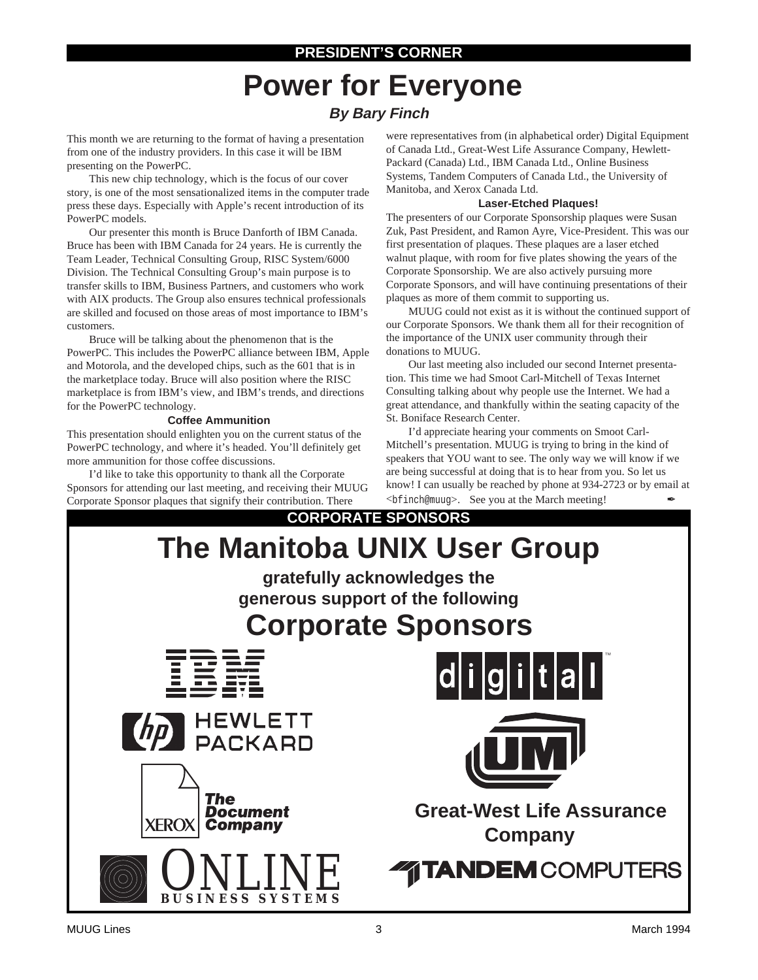# **Power for Everyone**

### **By Bary Finch**

This month we are returning to the format of having a presentation from one of the industry providers. In this case it will be IBM presenting on the PowerPC.

This new chip technology, which is the focus of our cover story, is one of the most sensationalized items in the computer trade press these days. Especially with Apple's recent introduction of its PowerPC models.

Our presenter this month is Bruce Danforth of IBM Canada. Bruce has been with IBM Canada for 24 years. He is currently the Team Leader, Technical Consulting Group, RISC System/6000 Division. The Technical Consulting Group's main purpose is to transfer skills to IBM, Business Partners, and customers who work with AIX products. The Group also ensures technical professionals are skilled and focused on those areas of most importance to IBM's customers.

Bruce will be talking about the phenomenon that is the PowerPC. This includes the PowerPC alliance between IBM, Apple and Motorola, and the developed chips, such as the 601 that is in the marketplace today. Bruce will also position where the RISC marketplace is from IBM's view, and IBM's trends, and directions for the PowerPC technology.

#### **Coffee Ammunition**

This presentation should enlighten you on the current status of the PowerPC technology, and where it's headed. You'll definitely get more ammunition for those coffee discussions.

I'd like to take this opportunity to thank all the Corporate Sponsors for attending our last meeting, and receiving their MUUG Corporate Sponsor plaques that signify their contribution. There

were representatives from (in alphabetical order) Digital Equipment of Canada Ltd., Great-West Life Assurance Company, Hewlett-Packard (Canada) Ltd., IBM Canada Ltd., Online Business Systems, Tandem Computers of Canada Ltd., the University of Manitoba, and Xerox Canada Ltd.

#### **Laser-Etched Plaques!**

The presenters of our Corporate Sponsorship plaques were Susan Zuk, Past President, and Ramon Ayre, Vice-President. This was our first presentation of plaques. These plaques are a laser etched walnut plaque, with room for five plates showing the years of the Corporate Sponsorship. We are also actively pursuing more Corporate Sponsors, and will have continuing presentations of their plaques as more of them commit to supporting us.

MUUG could not exist as it is without the continued support of our Corporate Sponsors. We thank them all for their recognition of the importance of the UNIX user community through their donations to MUUG.

Our last meeting also included our second Internet presentation. This time we had Smoot Carl-Mitchell of Texas Internet Consulting talking about why people use the Internet. We had a great attendance, and thankfully within the seating capacity of the St. Boniface Research Center.

I'd appreciate hearing your comments on Smoot Carl-Mitchell's presentation. MUUG is trying to bring in the kind of speakers that YOU want to see. The only way we will know if we are being successful at doing that is to hear from you. So let us know! I can usually be reached by phone at 934-2723 or by email at  $\leq$ bfinch@muuq>. See you at the March meeting!

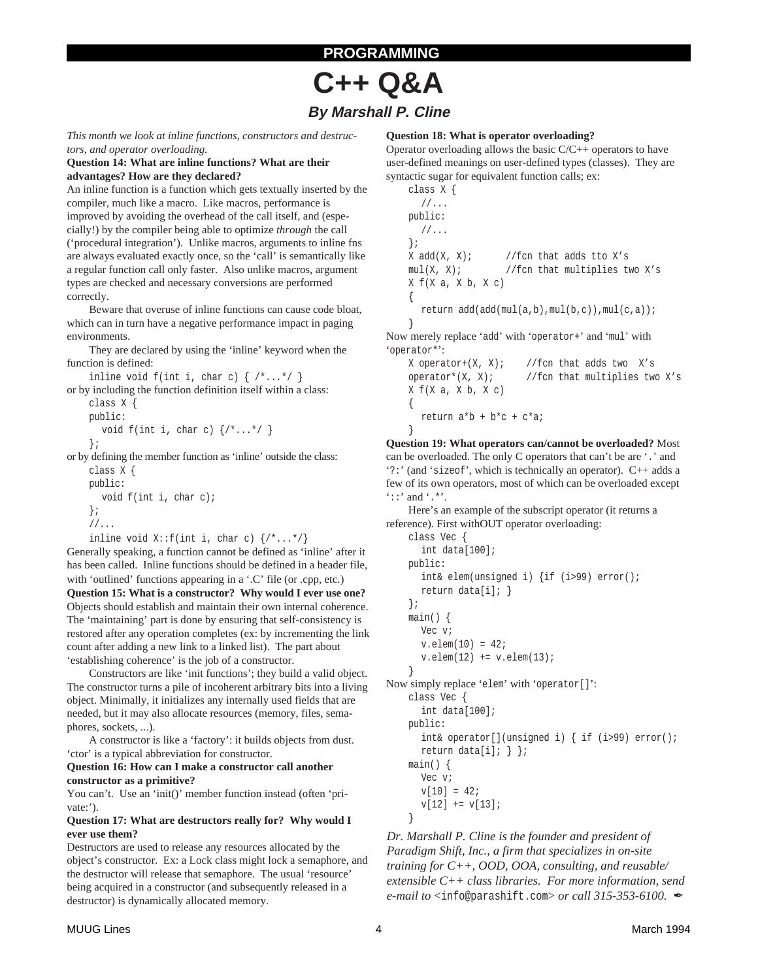**PROGRAMMING**

## **C++ Q&A By Marshall P. Cline**

*This month we look at inline functions, constructors and destructors, and operator overloading.*

#### **Question 14: What are inline functions? What are their advantages? How are they declared?**

An inline function is a function which gets textually inserted by the compiler, much like a macro. Like macros, performance is improved by avoiding the overhead of the call itself, and (especially!) by the compiler being able to optimize *through* the call ('procedural integration'). Unlike macros, arguments to inline fns are always evaluated exactly once, so the 'call' is semantically like a regular function call only faster. Also unlike macros, argument types are checked and necessary conversions are performed correctly.

Beware that overuse of inline functions can cause code bloat, which can in turn have a negative performance impact in paging environments.

They are declared by using the 'inline' keyword when the function is defined:

inline void f(int i, char c)  $\{$  /\*...\*/  $\}$ or by including the function definition itself within a class:

```
class X {
public:
  void f(int i, char c) \{/*...*/\}};
```
or by defining the member function as 'inline' outside the class:

```
class X {
public:
  void f(int i, char c);
};
//...
```
inline void  $X$ ::f(int i, char c)  $\{/*...*/\}$ Generally speaking, a function cannot be defined as 'inline' after it has been called. Inline functions should be defined in a header file, with 'outlined' functions appearing in a '.C' file (or .cpp, etc.) **Question 15: What is a constructor? Why would I ever use one?** Objects should establish and maintain their own internal coherence. The 'maintaining' part is done by ensuring that self-consistency is restored after any operation completes (ex: by incrementing the link count after adding a new link to a linked list). The part about

'establishing coherence' is the job of a constructor.

Constructors are like 'init functions'; they build a valid object. The constructor turns a pile of incoherent arbitrary bits into a living object. Minimally, it initializes any internally used fields that are needed, but it may also allocate resources (memory, files, semaphores, sockets, ...).

A constructor is like a 'factory': it builds objects from dust. 'ctor' is a typical abbreviation for constructor.

#### **Question 16: How can I make a constructor call another constructor as a primitive?**

You can't. Use an 'init()' member function instead (often 'private:').

#### **Question 17: What are destructors really for? Why would I ever use them?**

Destructors are used to release any resources allocated by the object's constructor. Ex: a Lock class might lock a semaphore, and the destructor will release that semaphore. The usual 'resource' being acquired in a constructor (and subsequently released in a destructor) is dynamically allocated memory.

#### **Question 18: What is operator overloading?**

Operator overloading allows the basic C/C++ operators to have user-defined meanings on user-defined types (classes). They are syntactic sugar for equivalent function calls; ex:

```
class X {
  //...
public:
  //...
};
X \text{ add}(X, X); //fcn that adds tto X'smull(X, X); //fcn that multiplies two X's
X f(X a, X b, X c){
  return add(add(mul(a,b),mul(b,c)), mul(c,a));
}
```
Now merely replace 'add' with 'operator+' and 'mul' with 'operator\*':

```
X operator+(X, X); //fcn that adds two X's
operator*(X, X); // for that multiplies two X's
X f(X a, X b, X c){
  return a*b + b*c + c*a;
}
```
**Question 19: What operators can/cannot be overloaded?** Most can be overloaded. The only C operators that can't be are '.' and '?:' (and 'sizeof', which is technically an operator). C++ adds a few of its own operators, most of which can be overloaded except '::' and '.\*'.

Here's an example of the subscript operator (it returns a reference). First withOUT operator overloading:

```
class Vec {
      int data[100];
    public:
      int& elem(unsigned i) {if (i>99) error();
      return data[i]; }
    };
    main() {
      Vec v;
      v.e] em(10) = 42;
      v.elem(12) += v.elem(13);
    }
Now simply replace 'elem' with 'operator[]':
    class Vec {
      int data[100];
    public:
      int& operator[](unsigned i) { if (i>99) error();
      return data[i]; \} };
    main() {
      Vec v;
      v[10] = 42;v[12] += v[13];
    }
```
*Dr. Marshall P. Cline is the founder and president of Paradigm Shift, Inc., a firm that specializes in on-site training for C++, OOD, OOA, consulting, and reusable/ extensible C++ class libraries. For more information, send e-mail to* <info@parashift.com> *or call 315-353-6100.* ✒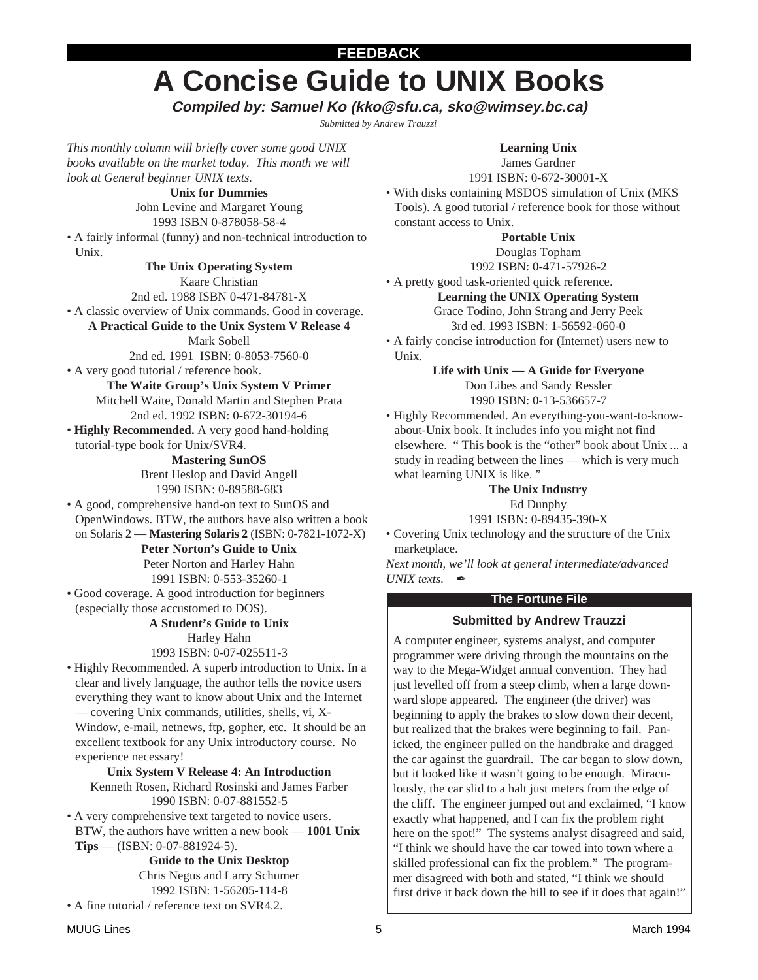## **FEEDBACK A Concise Guide to UNIX Books**

### **Compiled by: Samuel Ko (kko@sfu.ca, sko@wimsey.bc.ca)**

*Submitted by Andrew Trauzzi*

*This monthly column will briefly cover some good UNIX books available on the market today. This month we will look at General beginner UNIX texts.*

**Unix for Dummies**

John Levine and Margaret Young 1993 ISBN 0-878058-58-4

• A fairly informal (funny) and non-technical introduction to Unix.

> **The Unix Operating System** Kaare Christian

2nd ed. 1988 ISBN 0-471-84781-X

• A classic overview of Unix commands. Good in coverage. **A Practical Guide to the Unix System V Release 4**

Mark Sobell

2nd ed. 1991 ISBN: 0-8053-7560-0 • A very good tutorial / reference book.

**The Waite Group's Unix System V Primer** Mitchell Waite, Donald Martin and Stephen Prata 2nd ed. 1992 ISBN: 0-672-30194-6

• **Highly Recommended.** A very good hand-holding tutorial-type book for Unix/SVR4.

**Mastering SunOS**

Brent Heslop and David Angell 1990 ISBN: 0-89588-683

• A good, comprehensive hand-on text to SunOS and OpenWindows. BTW, the authors have also written a book on Solaris 2 — **Mastering Solaris 2** (ISBN: 0-7821-1072-X)

> **Peter Norton's Guide to Unix** Peter Norton and Harley Hahn 1991 ISBN: 0-553-35260-1

• Good coverage. A good introduction for beginners (especially those accustomed to DOS).

**A Student's Guide to Unix** Harley Hahn 1993 ISBN: 0-07-025511-3

• Highly Recommended. A superb introduction to Unix. In a clear and lively language, the author tells the novice users everything they want to know about Unix and the Internet — covering Unix commands, utilities, shells, vi, X-Window, e-mail, netnews, ftp, gopher, etc. It should be an excellent textbook for any Unix introductory course. No experience necessary!

**Unix System V Release 4: An Introduction** Kenneth Rosen, Richard Rosinski and James Farber 1990 ISBN: 0-07-881552-5

• A very comprehensive text targeted to novice users. BTW, the authors have written a new book — **1001 Unix Tips** — (ISBN: 0-07-881924-5).

**Guide to the Unix Desktop** Chris Negus and Larry Schumer 1992 ISBN: 1-56205-114-8 • A fine tutorial / reference text on SVR4.2.

**Learning Unix**

James Gardner

1991 ISBN: 0-672-30001-X

• With disks containing MSDOS simulation of Unix (MKS Tools). A good tutorial / reference book for those without constant access to Unix.

**Portable Unix**

Douglas Topham

1992 ISBN: 0-471-57926-2

• A pretty good task-oriented quick reference. **Learning the UNIX Operating System** Grace Todino, John Strang and Jerry Peek 3rd ed. 1993 ISBN: 1-56592-060-0

• A fairly concise introduction for (Internet) users new to Unix.

> **Life with Unix — A Guide for Everyone** Don Libes and Sandy Ressler 1990 ISBN: 0-13-536657-7

• Highly Recommended. An everything-you-want-to-knowabout-Unix book. It includes info you might not find elsewhere. " This book is the "other" book about Unix ... a study in reading between the lines — which is very much what learning UNIX is like."

#### **The Unix Industry**

Ed Dunphy 1991 ISBN: 0-89435-390-X

• Covering Unix technology and the structure of the Unix marketplace.

*Next month, we'll look at general intermediate/advanced* UNIX texts.

#### **The Fortune File**

#### **Submitted by Andrew Trauzzi**

A computer engineer, systems analyst, and computer programmer were driving through the mountains on the way to the Mega-Widget annual convention. They had just levelled off from a steep climb, when a large downward slope appeared. The engineer (the driver) was beginning to apply the brakes to slow down their decent, but realized that the brakes were beginning to fail. Panicked, the engineer pulled on the handbrake and dragged the car against the guardrail. The car began to slow down, but it looked like it wasn't going to be enough. Miraculously, the car slid to a halt just meters from the edge of the cliff. The engineer jumped out and exclaimed, "I know exactly what happened, and I can fix the problem right here on the spot!" The systems analyst disagreed and said, "I think we should have the car towed into town where a skilled professional can fix the problem." The programmer disagreed with both and stated, "I think we should first drive it back down the hill to see if it does that again!"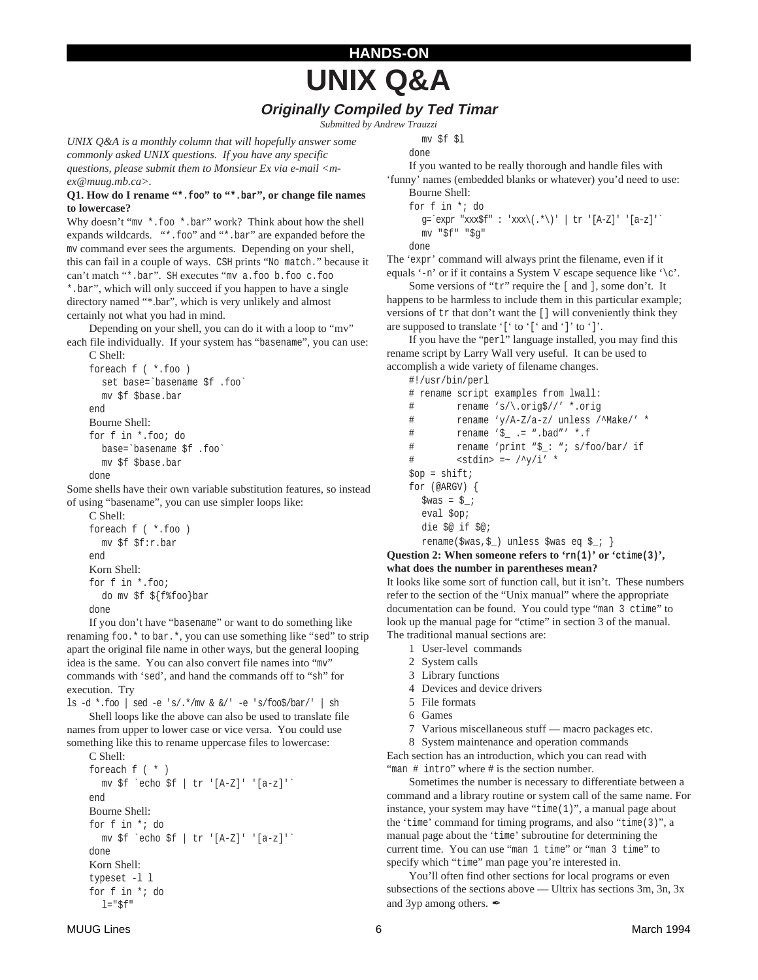## **HANDS-ON UNIX Q&A**

#### **Originally Compiled by Ted Timar**

*Submitted by Andrew Trauzzi*

*UNIX Q&A is a monthly column that will hopefully answer some commonly asked UNIX questions. If you have any specific questions, please submit them to Monsieur Ex via e-mail <mex@muug.mb.ca>.*

#### **Q1. How do I rename "\*.foo" to "\*.bar", or change file names to lowercase?**

Why doesn't "mv \*.foo \*.bar" work? Think about how the shell expands wildcards. "\*.foo" and "\*.bar" are expanded before the mv command ever sees the arguments. Depending on your shell, this can fail in a couple of ways. CSH prints "No match." because it can't match "\*.bar". SH executes "mv a.foo b.foo c.foo \*.bar", which will only succeed if you happen to have a single directory named "\*.bar", which is very unlikely and almost certainly not what you had in mind.

Depending on your shell, you can do it with a loop to "mv" each file individually. If your system has "basename", you can use:

```
C Shell:
foreach f ( *.foo )
  set base=`basename $f .foo`
  mv $f $base.bar
end
Bourne Shell:
for f in *.foo; do
  base=`basename $f .foo`
  mv $f $base.bar
done
```
Some shells have their own variable substitution features, so instead of using "basename", you can use simpler loops like:

```
C Shell:
foreach f ( *.foo )
  mv $f $f:r.bar
end
Korn Shell:
for f in *.foo;
  do mv $f ${f%foo}bar
done
```
If you don't have "basename" or want to do something like renaming foo.\* to bar.\*, you can use something like "sed" to strip apart the original file name in other ways, but the general looping idea is the same. You can also convert file names into "mv" commands with 'sed', and hand the commands off to "sh" for execution. Try

ls -d \*.foo | sed -e 's/.\*/mv & &/' -e 's/foo\$/bar/' | sh Shell loops like the above can also be used to translate file names from upper to lower case or vice versa. You could use something like this to rename uppercase files to lowercase:

```
C Shell:
foreach f ( * )
  mv $f `echo $f | tr '[A-Z]' '[a-z]'`
end
Bourne Shell:
for f in *; do
  mv $f `echo $f | tr '[A-Z]' '[a-z]'`
done
Korn Shell:
typeset -l l
for f in *; do
  l = "Sf"
```

```
mv $f $l
done
```
If you wanted to be really thorough and handle files with 'funny' names (embedded blanks or whatever) you'd need to use: Bourne Shell:

```
for f in *; do
  g=`expr "xxx$f" : 'xxx\(.*\)' | tr '[A-Z]' '[a-z]'`
  mv "$f" "$g"
done
```
The 'expr' command will always print the filename, even if it equals '-n' or if it contains a System V escape sequence like '\c'.

Some versions of "tr" require the [ and ], some don't. It happens to be harmless to include them in this particular example; versions of tr that don't want the [] will conveniently think they are supposed to translate '[' to '[' and ']' to ']'.

If you have the "perl" language installed, you may find this rename script by Larry Wall very useful. It can be used to accomplish a wide variety of filename changes.

#!/usr/bin/perl

```
# rename script examples from lwall:
# rename 's/\.orig$//' *.orig
# rename 'y/A-Z/a-z/ unless /^Make/' *
# rename '$_ .= ".bad"' *.f
# rename 'print "$_: "; s/foo/bar/ if
# \leftarrow \leftarrow \left(\frac{\gamma}{i} \cdot \right) \left(\frac{\gamma}{i} \cdot \right)$op = shift;for (@ARGV) {
  Swas = S;
  eval $op;
  die $@ if $@;
  rename($was,$_) unless $was eq $_; }
```
**Question 2: When someone refers to 'rn(1)' or 'ctime(3)',**

**what does the number in parentheses mean?**

It looks like some sort of function call, but it isn't. These numbers refer to the section of the "Unix manual" where the appropriate documentation can be found. You could type "man 3 ctime" to look up the manual page for "ctime" in section 3 of the manual. The traditional manual sections are:

1 User-level commands

- 2 System calls
- 3 Library functions
- 4 Devices and device drivers
- 5 File formats
- 6 Games
- 7 Various miscellaneous stuff macro packages etc.
- 8 System maintenance and operation commands

Each section has an introduction, which you can read with "man # intro" where # is the section number.

Sometimes the number is necessary to differentiate between a command and a library routine or system call of the same name. For instance, your system may have "time(1)", a manual page about the 'time' command for timing programs, and also "time(3)", a manual page about the 'time' subroutine for determining the current time. You can use "man 1 time" or "man 3 time" to specify which "time" man page you're interested in.

You'll often find other sections for local programs or even subsections of the sections above — Ultrix has sections 3m, 3n, 3x and 3yp among others.  $\blacktriangle$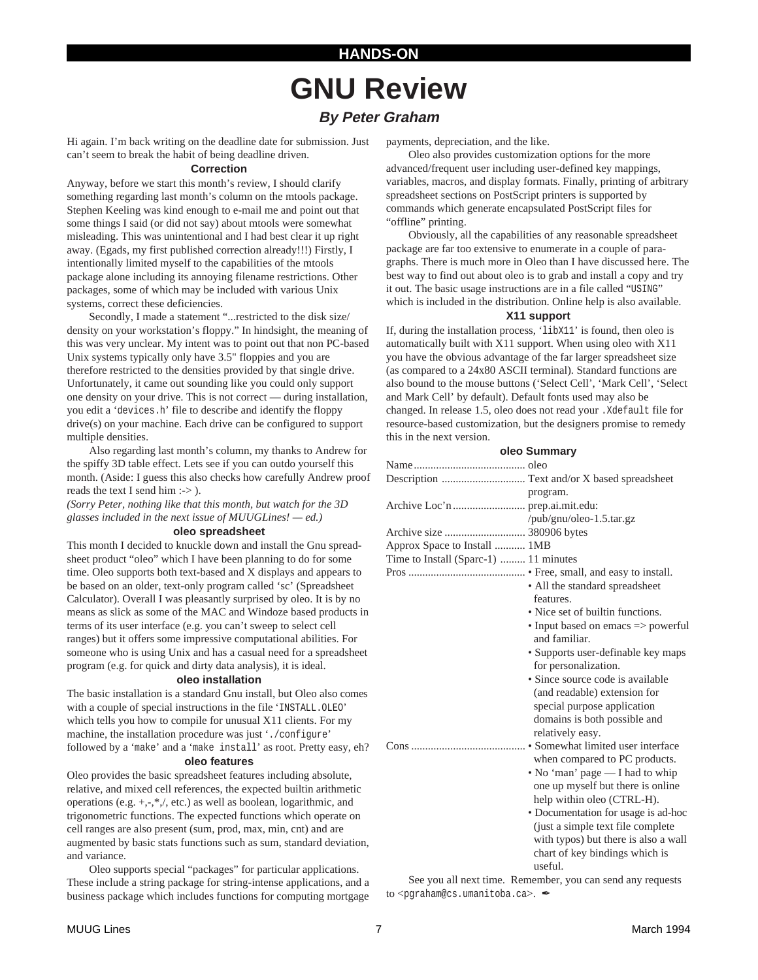#### **HANDS-ON**

# **GNU Review By Peter Graham**

Hi again. I'm back writing on the deadline date for submission. Just can't seem to break the habit of being deadline driven.

#### **Correction**

Anyway, before we start this month's review, I should clarify something regarding last month's column on the mtools package. Stephen Keeling was kind enough to e-mail me and point out that some things I said (or did not say) about mtools were somewhat misleading. This was unintentional and I had best clear it up right away. (Egads, my first published correction already!!!) Firstly, I intentionally limited myself to the capabilities of the mtools package alone including its annoying filename restrictions. Other packages, some of which may be included with various Unix systems, correct these deficiencies.

Secondly, I made a statement "...restricted to the disk size/ density on your workstation's floppy." In hindsight, the meaning of this was very unclear. My intent was to point out that non PC-based Unix systems typically only have 3.5" floppies and you are therefore restricted to the densities provided by that single drive. Unfortunately, it came out sounding like you could only support one density on your drive. This is not correct — during installation, you edit a 'devices.h' file to describe and identify the floppy drive(s) on your machine. Each drive can be configured to support multiple densities.

Also regarding last month's column, my thanks to Andrew for the spiffy 3D table effect. Lets see if you can outdo yourself this month. (Aside: I guess this also checks how carefully Andrew proof reads the text I send him :-> ).

*(Sorry Peter, nothing like that this month, but watch for the 3D glasses included in the next issue of MUUGLines! — ed.)*

#### **oleo spreadsheet**

This month I decided to knuckle down and install the Gnu spreadsheet product "oleo" which I have been planning to do for some time. Oleo supports both text-based and X displays and appears to be based on an older, text-only program called 'sc' (Spreadsheet Calculator). Overall I was pleasantly surprised by oleo. It is by no means as slick as some of the MAC and Windoze based products in terms of its user interface (e.g. you can't sweep to select cell ranges) but it offers some impressive computational abilities. For someone who is using Unix and has a casual need for a spreadsheet program (e.g. for quick and dirty data analysis), it is ideal.

#### **oleo installation**

The basic installation is a standard Gnu install, but Oleo also comes with a couple of special instructions in the file 'INSTALL.OLEO' which tells you how to compile for unusual X11 clients. For my machine, the installation procedure was just './configure' followed by a 'make' and a 'make install' as root. Pretty easy, eh?

#### **oleo features**

Oleo provides the basic spreadsheet features including absolute, relative, and mixed cell references, the expected builtin arithmetic operations (e.g. +,-,\*,/, etc.) as well as boolean, logarithmic, and trigonometric functions. The expected functions which operate on cell ranges are also present (sum, prod, max, min, cnt) and are augmented by basic stats functions such as sum, standard deviation, and variance.

Oleo supports special "packages" for particular applications. These include a string package for string-intense applications, and a business package which includes functions for computing mortgage

payments, depreciation, and the like.

Oleo also provides customization options for the more advanced/frequent user including user-defined key mappings, variables, macros, and display formats. Finally, printing of arbitrary spreadsheet sections on PostScript printers is supported by commands which generate encapsulated PostScript files for "offline" printing.

Obviously, all the capabilities of any reasonable spreadsheet package are far too extensive to enumerate in a couple of paragraphs. There is much more in Oleo than I have discussed here. The best way to find out about oleo is to grab and install a copy and try it out. The basic usage instructions are in a file called "USING" which is included in the distribution. Online help is also available.

#### **X11 support**

If, during the installation process, 'libX11' is found, then oleo is automatically built with X11 support. When using oleo with X11 you have the obvious advantage of the far larger spreadsheet size (as compared to a 24x80 ASCII terminal). Standard functions are also bound to the mouse buttons ('Select Cell', 'Mark Cell', 'Select and Mark Cell' by default). Default fonts used may also be changed. In release 1.5, oleo does not read your .Xdefault file for resource-based customization, but the designers promise to remedy this in the next version.

| oleo Summary                          |                                      |  |  |  |
|---------------------------------------|--------------------------------------|--|--|--|
|                                       |                                      |  |  |  |
|                                       |                                      |  |  |  |
|                                       | program.                             |  |  |  |
|                                       |                                      |  |  |  |
|                                       | /pub/gnu/oleo-1.5.tar.gz             |  |  |  |
|                                       |                                      |  |  |  |
| Approx Space to Install  1MB          |                                      |  |  |  |
| Time to Install (Sparc-1)  11 minutes |                                      |  |  |  |
|                                       |                                      |  |  |  |
|                                       | • All the standard spreadsheet       |  |  |  |
|                                       | features.                            |  |  |  |
|                                       | • Nice set of builtin functions.     |  |  |  |
|                                       | • Input based on emacs => powerful   |  |  |  |
|                                       | and familiar.                        |  |  |  |
|                                       | • Supports user-definable key maps   |  |  |  |
|                                       | for personalization.                 |  |  |  |
|                                       | • Since source code is available     |  |  |  |
|                                       | (and readable) extension for         |  |  |  |
|                                       | special purpose application          |  |  |  |
|                                       | domains is both possible and         |  |  |  |
|                                       | relatively easy.                     |  |  |  |
|                                       |                                      |  |  |  |
|                                       | when compared to PC products.        |  |  |  |
|                                       | . No 'man' page - I had to whip      |  |  |  |
|                                       | one up myself but there is online    |  |  |  |
|                                       | help within oleo (CTRL-H).           |  |  |  |
|                                       | • Documentation for usage is ad-hoc  |  |  |  |
|                                       | (just a simple text file complete)   |  |  |  |
|                                       | with typos) but there is also a wall |  |  |  |
|                                       | chart of key bindings which is       |  |  |  |
|                                       | useful.                              |  |  |  |

See you all next time. Remember, you can send any requests to <pgraham@cs.umanitoba.ca>.